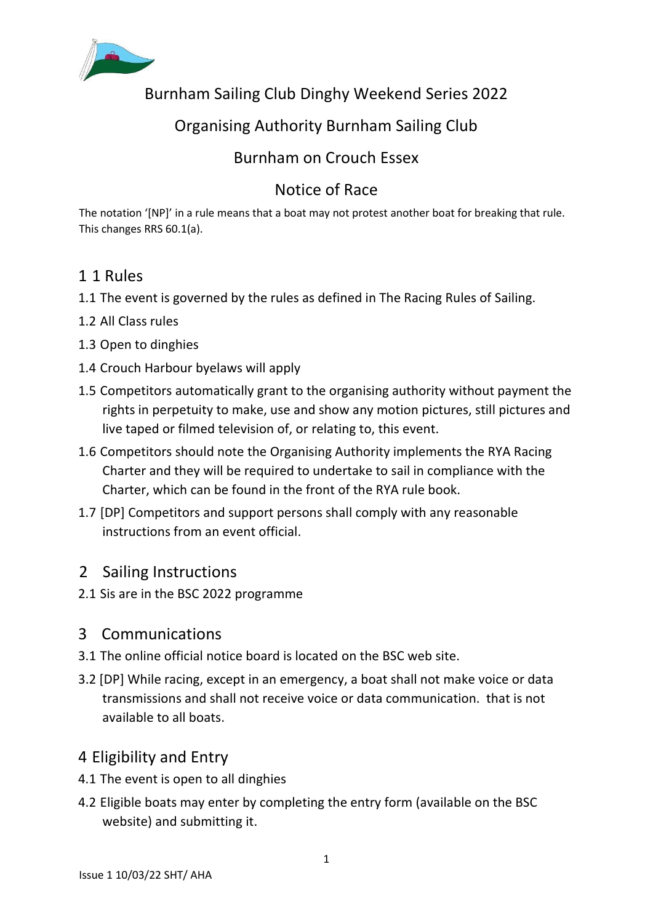

Burnham Sailing Club Dinghy Weekend Series 2022

# Organising Authority Burnham Sailing Club

## Burnham on Crouch Essex

# Notice of Race

The notation '[NP]' in a rule means that a boat may not protest another boat for breaking that rule. This changes RRS 60.1(a).

## 1 1 Rules

- 1.1 The event is governed by the rules as defined in The Racing Rules of Sailing.
- 1.2 All Class rules
- 1.3 Open to dinghies
- 1.4 Crouch Harbour byelaws will apply
- 1.5 Competitors automatically grant to the organising authority without payment the rights in perpetuity to make, use and show any motion pictures, still pictures and live taped or filmed television of, or relating to, this event.
- 1.6 Competitors should note the Organising Authority implements the RYA Racing Charter and they will be required to undertake to sail in compliance with the Charter, which can be found in the front of the RYA rule book.
- 1.7 [DP] Competitors and support persons shall comply with any reasonable instructions from an event official.

### 2 Sailing Instructions

2.1 Sis are in the BSC 2022 programme

### 3 Communications

- 3.1 The online official notice board is located on the BSC web site.
- 3.2 [DP] While racing, except in an emergency, a boat shall not make voice or data transmissions and shall not receive voice or data communication. that is not available to all boats.

### 4 Eligibility and Entry

- 4.1 The event is open to all dinghies
- 4.2 Eligible boats may enter by completing the entry form (available on the BSC website) and submitting it.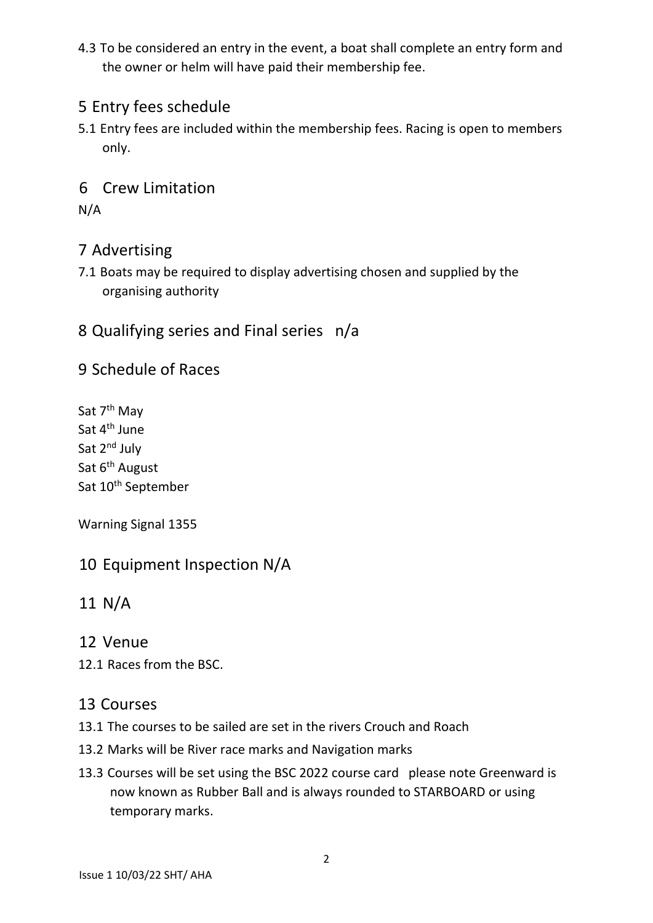4.3 To be considered an entry in the event, a boat shall complete an entry form and the owner or helm will have paid their membership fee.

## 5 Entry fees schedule

5.1 Entry fees are included within the membership fees. Racing is open to members only.

#### 6 Crew Limitation

N/A

#### 7 Advertising

7.1 Boats may be required to display advertising chosen and supplied by the organising authority

### 8 Qualifying series and Final series n/a

#### 9 Schedule of Races

Sat 7<sup>th</sup> May Sat 4<sup>th</sup> June Sat 2<sup>nd</sup> July Sat 6<sup>th</sup> August Sat 10<sup>th</sup> September

Warning Signal 1355

### 10 Equipment Inspection N/A

### 11 N/A

#### 12 Venue

12.1 Races from the BSC.

#### 13 Courses

- 13.1 The courses to be sailed are set in the rivers Crouch and Roach
- 13.2 Marks will be River race marks and Navigation marks
- 13.3 Courses will be set using the BSC 2022 course card please note Greenward is now known as Rubber Ball and is always rounded to STARBOARD or using temporary marks.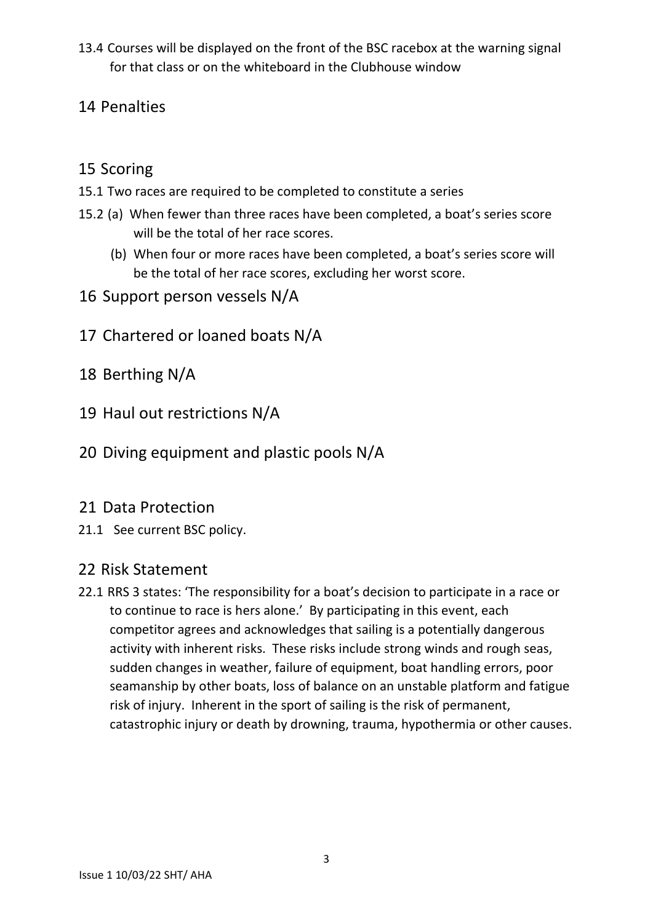13.4 Courses will be displayed on the front of the BSC racebox at the warning signal for that class or on the whiteboard in the Clubhouse window

## 14 Penalties

## 15 Scoring

- 15.1 Two races are required to be completed to constitute a series
- 15.2 (a) When fewer than three races have been completed, a boat's series score will be the total of her race scores.
	- (b) When four or more races have been completed, a boat's series score will be the total of her race scores, excluding her worst score.
- 16 Support person vessels N/A
- 17 Chartered or loaned boats N/A
- 18 Berthing N/A
- 19 Haul out restrictions N/A
- 20 Diving equipment and plastic pools N/A

#### 21 Data Protection

21.1 See current BSC policy.

### 22 Risk Statement

22.1 RRS 3 states: 'The responsibility for a boat's decision to participate in a race or to continue to race is hers alone.' By participating in this event, each competitor agrees and acknowledges that sailing is a potentially dangerous activity with inherent risks. These risks include strong winds and rough seas, sudden changes in weather, failure of equipment, boat handling errors, poor seamanship by other boats, loss of balance on an unstable platform and fatigue risk of injury. Inherent in the sport of sailing is the risk of permanent, catastrophic injury or death by drowning, trauma, hypothermia or other causes.